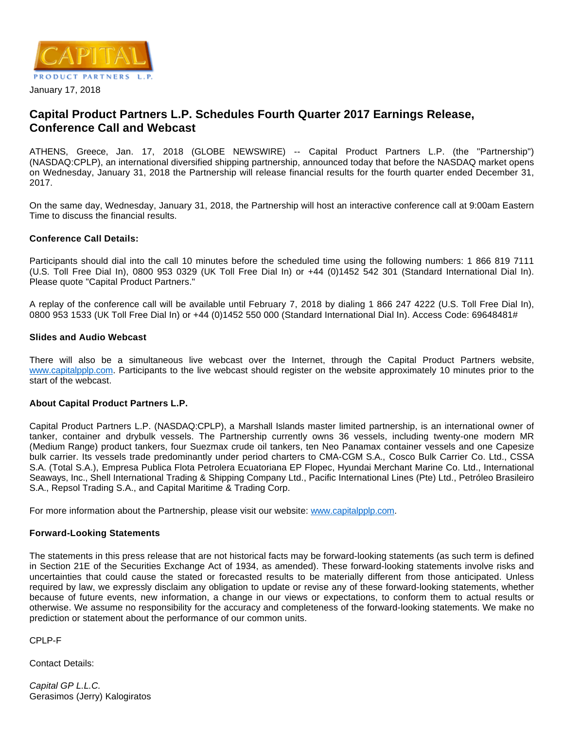

### January 17, 2018

# **Capital Product Partners L.P. Schedules Fourth Quarter 2017 Earnings Release, Conference Call and Webcast**

ATHENS, Greece, Jan. 17, 2018 (GLOBE NEWSWIRE) -- Capital Product Partners L.P. (the "Partnership") (NASDAQ:CPLP), an international diversified shipping partnership, announced today that before the NASDAQ market opens on Wednesday, January 31, 2018 the Partnership will release financial results for the fourth quarter ended December 31, 2017.

On the same day, Wednesday, January 31, 2018, the Partnership will host an interactive conference call at 9:00am Eastern Time to discuss the financial results.

## **Conference Call Details:**

Participants should dial into the call 10 minutes before the scheduled time using the following numbers: 1 866 819 7111 (U.S. Toll Free Dial In), 0800 953 0329 (UK Toll Free Dial In) or +44 (0)1452 542 301 (Standard International Dial In). Please quote "Capital Product Partners."

A replay of the conference call will be available until February 7, 2018 by dialing 1 866 247 4222 (U.S. Toll Free Dial In), 0800 953 1533 (UK Toll Free Dial In) or +44 (0)1452 550 000 (Standard International Dial In). Access Code: 69648481#

#### **Slides and Audio Webcast**

There will also be a simultaneous live webcast over the Internet, through the Capital Product Partners website, [www.capitalpplp.com.](http://www.capitalpplp.com/) Participants to the live webcast should register on the website approximately 10 minutes prior to the start of the webcast.

## **About Capital Product Partners L.P.**

Capital Product Partners L.P. (NASDAQ:CPLP), a Marshall Islands master limited partnership, is an international owner of tanker, container and drybulk vessels. The Partnership currently owns 36 vessels, including twenty-one modern MR (Medium Range) product tankers, four Suezmax crude oil tankers, ten Neo Panamax container vessels and one Capesize bulk carrier. Its vessels trade predominantly under period charters to CMA-CGM S.A., Cosco Bulk Carrier Co. Ltd., CSSA S.A. (Total S.A.), Empresa Publica Flota Petrolera Ecuatoriana EP Flopec, Hyundai Merchant Marine Co. Ltd., International Seaways, Inc., Shell International Trading & Shipping Company Ltd., Pacific International Lines (Pte) Ltd., Petróleo Brasileiro S.A., Repsol Trading S.A., and Capital Maritime & Trading Corp.

For more information about the Partnership, please visit our website: [www.capitalpplp.com](http://www.capitalpplp.com/).

#### **Forward-Looking Statements**

The statements in this press release that are not historical facts may be forward-looking statements (as such term is defined in Section 21E of the Securities Exchange Act of 1934, as amended). These forward-looking statements involve risks and uncertainties that could cause the stated or forecasted results to be materially different from those anticipated. Unless required by law, we expressly disclaim any obligation to update or revise any of these forward-looking statements, whether because of future events, new information, a change in our views or expectations, to conform them to actual results or otherwise. We assume no responsibility for the accuracy and completeness of the forward-looking statements. We make no prediction or statement about the performance of our common units.

CPLP-F

Contact Details:

Capital GP L.L.C. Gerasimos (Jerry) Kalogiratos